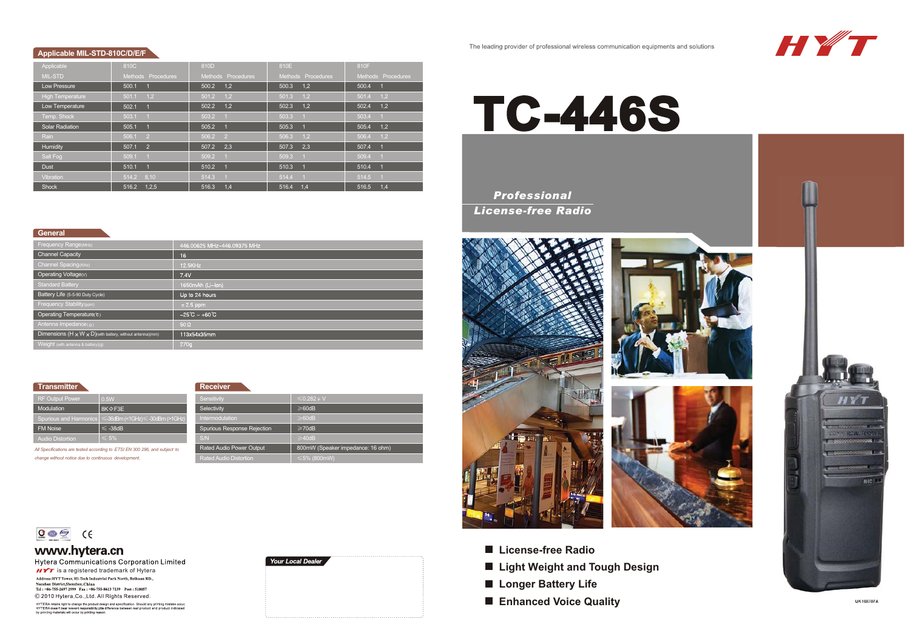### The leading provider of professional wireless communication equipments and solutions



# **Applicable MIL-STD-810C/D/E/F**

| Applicable              | 810C                    | 810D                    | 810E                    | 810F                    |
|-------------------------|-------------------------|-------------------------|-------------------------|-------------------------|
| <b>MIL-STD</b>          | Methods Procedures      | Methods Procedures      | Methods Procedures      | Methods Procedures      |
| Low Pressure            | 500.1<br>$\overline{1}$ | 500.2<br>1,2            | 500.3<br>1.2            | 500.4<br>$\blacksquare$ |
| <b>High Temperature</b> | 1,2<br>501.1            | 501.2<br>1,2            | 1.2<br>501.3            | 501.4<br>1,2            |
| Low Temperature         | 502.1<br>$\overline{1}$ | 1.2<br>502.2            | 1.2<br>502.3            | 1,2<br>502.4            |
| Temp. Shock             | 503.1<br>$\blacksquare$ | 503.2                   | 503.3<br>$\overline{1}$ | 503.4<br>$\overline{1}$ |
| <b>Solar Radiation</b>  | 505.1<br>$\blacksquare$ | 505.2                   | 505.3<br>$\overline{1}$ | 505.4<br>1,2            |
| Rain                    | 506.1<br>$\overline{2}$ | 506.2<br>$\overline{2}$ | 1,2<br>506.3            | 1,2<br>506.4            |
| Humidity                | $\overline{2}$<br>507.1 | 2.3<br>507.2            | 2,3<br>507.3            | 507.4<br>$\blacksquare$ |
| Salt Fog                | 509.1                   | 509.2                   | 509.3                   | 509.4                   |
| <b>Dust</b>             | 510.1<br>$\blacksquare$ | 510.2                   | 510.3<br>$\overline{1}$ | 510.4<br>$\blacksquare$ |
| Vibration               | 8.10<br>514.2           | 514.3                   | 514.4<br>$-1$           | 514.5<br>$\blacksquare$ |
| <b>Shock</b>            | 1,2,5<br>516.2          | 516.3<br>1.4            | 1.4<br>516.4            | 516.5<br>1.4            |

### **General**

| Frequency Range (MHz)                                                 | 446.00625 MHz-446.09375 MHz   |
|-----------------------------------------------------------------------|-------------------------------|
| <b>Channel Capacity</b>                                               | 16                            |
| Channel Spacing (KHz)                                                 | 12.5KHz                       |
| Operating Voltage(v)                                                  | 7.4V                          |
| <b>Standard Battery</b>                                               | 1650mAh (Li-lon)              |
| Battery Life (5-5-90 Duty Cycle)                                      | Up to 24 hours                |
| Frequency Stability (ppm)                                             | $\pm 2.5$ ppm                 |
| Operating Temperature(°C)                                             | $-25^{\circ}C - +60^{\circ}C$ |
| Antenna Impedance( $\Omega$ )                                         | $50\Omega$                    |
| Dimensions $(H \times W \times D)$ with battery, without antenna)(mm) | 113x54x35mm                   |
| Weight (with antenna & battery)(g)                                    | 270g                          |

**Transmitter**

**Receiver**

| панэнция                                                                   |                                                                     | REPERE                        |                                   |  |
|----------------------------------------------------------------------------|---------------------------------------------------------------------|-------------------------------|-----------------------------------|--|
| <b>RF Output Power</b>                                                     | 0.5W                                                                | Sensitivity                   | $\leq 0.282$ µ V                  |  |
| Modulation                                                                 | $8K \oplus F3E$                                                     | Selectivity                   | $\geq 60$ dB                      |  |
|                                                                            | Spurious and Harmonics $ \leq 36$ dBm (<1GHz) $\leq$ -30dBm (>1GHz) | Intermodulation               | $\geq 60$ dB                      |  |
| <b>FM Noise</b>                                                            | $\leq$ -38dB                                                        | Spurious Response Rejection   | $\geq$ 70dB                       |  |
| <b>Audio Distortion</b>                                                    | $\leqslant$ 5%                                                      | S/N                           | $\geq 40$ dB                      |  |
| All Specifications are tested according to ETSI EN 300 296, and subject to |                                                                     | Rated Audio Power Output      | 800mW (Speaker impedance: 16 ohm) |  |
| change without notice due to continuous development.                       |                                                                     | <b>Rated Audio Distortion</b> | $\leq 5\%$ (800mW)                |  |

*change without notice due to continuous development.*



www.hytera.cn

Hytera Communications Corporation Limited **HIT** is a registered trademark of Hytera<br>Address: HYT Tower, Hi-Tech Industrial Park North, Beihuan RD.,<br>Nanshan District, Shenzhen, China<br>Tel : +86-755-2697 2999 Fax : +86-755-8613 7139 Post : 518057 C 2010 Hytera, Co., Ltd. All Rights Reserved.

HYTERA retains right to change the product design and spacification. Should any printing mistake occur,<br>HYTERA dosen't bear relevant responsibility.Lifte difference between real product and product indicated<br>by printing ma



# **TC-446S**

# *Professional License-free Radio*





- **License-free Radio**
- **Light Weight and Tough Design**
- Longer Battery Life
- **Enhanced Voice Quality**